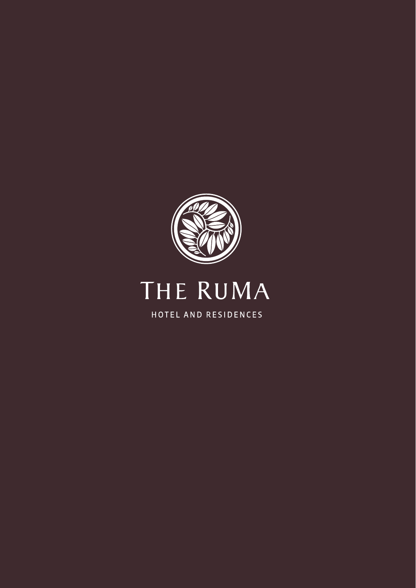



HOTEL AND RESIDENCES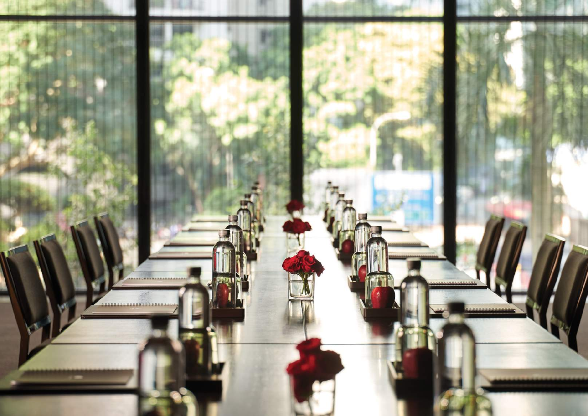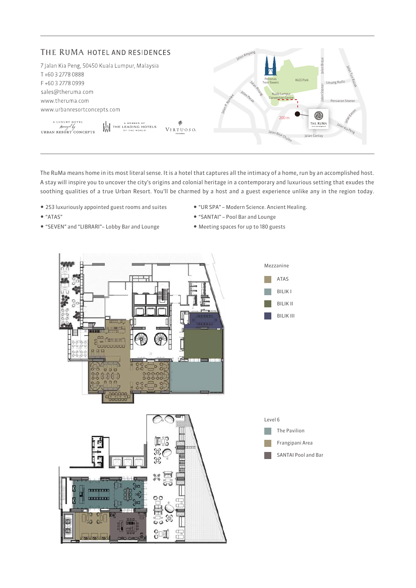

The RuMa means home in its most literal sense. It is a hotel that captures all the intimacy of a home, run by an accomplished host. A stay will inspire you to uncover the city's origins and colonial heritage in a contemporary and luxurious setting that exudes the soothing qualities of a true Urban Resort. You'll be charmed by a host and a guest experience unlike any in the region today.

- 253 luxuriously appointed guest rooms and suites
- "ATAS"
- "SEVEN" and "LIBRARI"– Lobby Bar and Lounge
- "UR SPA" Modern Science. Ancient Healing.

Ampang Park

- "SANTAI" Pool Bar and Lounge
- Meeting spaces for up to 180 guests

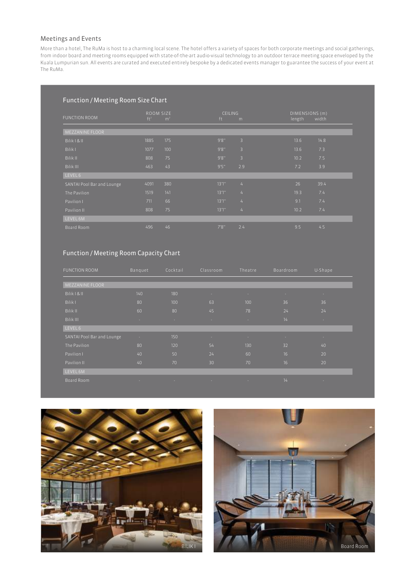#### Meetings and Events

More than a hotel, The RuMa is host to a charming local scene. The hotel offers a variety of spaces for both corporate meetings and social gatherings, from indoor board and meeting rooms equipped with state-of-the-art audio-visual technology to an outdoor terrace meeting space enveloped by the Kuala Lumpurian sun. All events are curated and executed entirely bespoke by a dedicated events manager to guarantee the success of your event at The RuMa.

### Function / Meeting Room Size Chart

| <b>FUNCTION ROOM</b>       | ROOM SIZE<br>ft <sup>2</sup> | m <sup>2</sup> | <b>CEILING</b><br>ft | m              | length | DIMENSIONS (m)<br>width |
|----------------------------|------------------------------|----------------|----------------------|----------------|--------|-------------------------|
| MEZZANINE FLOOR            |                              |                |                      |                |        |                         |
| Bilik I & II               | 1885                         | 175            | 9'8"                 | $\overline{3}$ | 13.6   | 14.8                    |
| <b>Bilik I</b>             | 1077                         | 100            | 9'8"                 | $\overline{3}$ | 13.6   | 7.3                     |
| <b>Bilik II</b>            | 808                          | 75             | 9'8"                 | $\overline{3}$ | 10.2   | 7.5                     |
| <b>Bilik III</b>           | 463                          | 43             | 9'5''                | 2.9            | 7.2    | 3.9                     |
| LEVEL 6                    |                              |                |                      |                |        |                         |
| SANTAI Pool Bar and Lounge | 4091                         | 380            | 13'1''               | $\frac{1}{4}$  | 26     | 39.4                    |
| The Pavilion               | 1519                         | 141            | 13'1''               | $\frac{1}{4}$  | 19.3   | 7.4                     |
| Pavilion I                 | 711                          | 66             | 13'1''               | $\frac{1}{4}$  | 9.1    | 7.4                     |
| Pavilion II                | 808                          | 75             | 13'1''               | $\frac{1}{4}$  | 10.2   | 7.4                     |
| LEVEL 6M                   |                              |                |                      |                |        |                         |
| Board Room                 | 496                          | 46             | 7'8''                | 2.4            | 9.5    | 4.5                     |

#### Function / Meeting Room Capacity Chart

| <b>FUNCTION ROOM</b>       | Banquet | Cocktail | Classroom | Theatre | Boardroom | U-Shape |
|----------------------------|---------|----------|-----------|---------|-----------|---------|
| MEZZANINE FLOOR            |         |          |           |         |           |         |
|                            |         |          |           |         |           |         |
| Bilik I & II               | 140     | 180      | ۰.        | ٠       | ۰         | ÷       |
| <b>Bilik I</b>             | 80      | 100      | 63        | 100     | 36        | 36      |
| <b>Bilik II</b>            | 60      | 80       | 45        | 78      | 24        | 24      |
| Bilik III                  | ۰.      | ÷        | <b>A</b>  | $\sim$  | 14        | ÷.      |
| LEVEL 6                    |         |          |           |         |           |         |
| SANTAI Pool Bar and Lounge | ٠       | 150      |           |         | ۰         | ÷       |
| The Pavilion               | 80      | 120      | 54        | 130     | 32        | 40      |
| Pavilion I                 | 40      | 50       | 24        | 60      | 16        | 20      |
| Pavilion II                | 40      | 70       | 30        | 70      | 16        | 20      |
| LEVEL 6M                   |         |          |           |         |           |         |
| Board Room                 | ٠       | ٠        | ۰.        | ÷       | 14        |         |



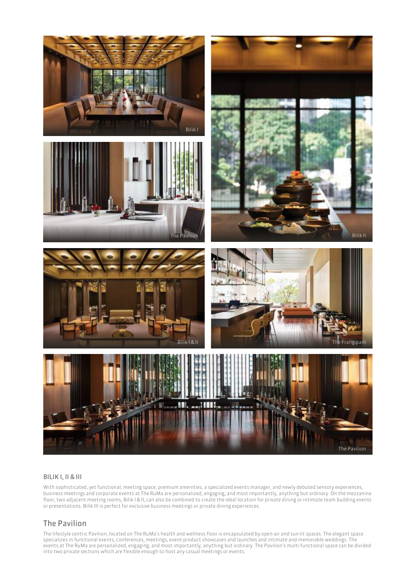

### BILIK I, II & III

With sophisticated, yet functional, meeting space, premium amenities, a specialized events manager, and newly debuted sensory experiences, business meetings and corporate events at The RuMa are personalized, engaging, and most importantly, anything but ordinary. On the mezzanine floor, two adjacent meeting rooms, Bilik I & II, can also be combined to create the ideal location for private dining or intimate team building events or presentations. Bilik III is perfect for exclusive business meetings or private dining experiences.

## The Pavilion

The lifestyle centric Pavilion, located on The RuMa's health and wellness floor is encapsulated by open-air and sun-lit spaces. The elegant space specializes in functional events, conferences, meetings, event product showcases and launches and intimate and memorable weddings. The events at The RuMa are personalized, engaging, and most importantly, anything but ordinary. The Pavilion's multi-functional space can be divided into two private sections which are flexible enough to host any casual meetings or events.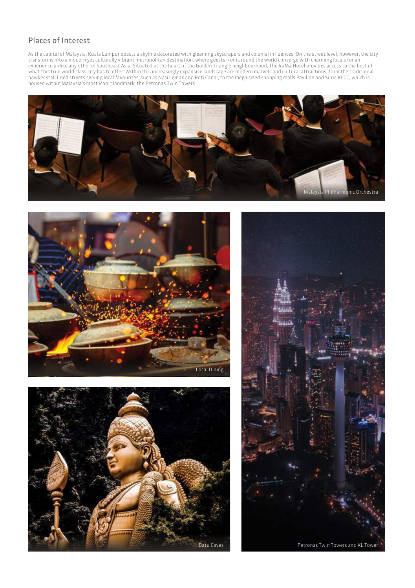# Places of Interest

As the capital of Malaysia, Kuala Lumpur boasts a skyline decorated with gleaming skyscrapers and colonial influences. On the street level, however, the city transforms into a modern yet culturally vibrant metropolitan destination, where guests from around the world converge with charming locals for an experience unlike any other in Southeast Asia. Situated at the heart of the Golden Triangle neighbourhood, The RuMa Hotel provides access to the best of what this true world-class city has to offer. Within this increasingly expansive landscape are modern marvels and cultural attractions, from the traditional hawker stall-lined streets serving local favourites, such as Nasi Lemak and Roti Canai, to the mega-sized shopping malls Pavilion and Suria KLCC, which is housed within Malaysia's most iconic landmark, the Petronas Twin Towers.